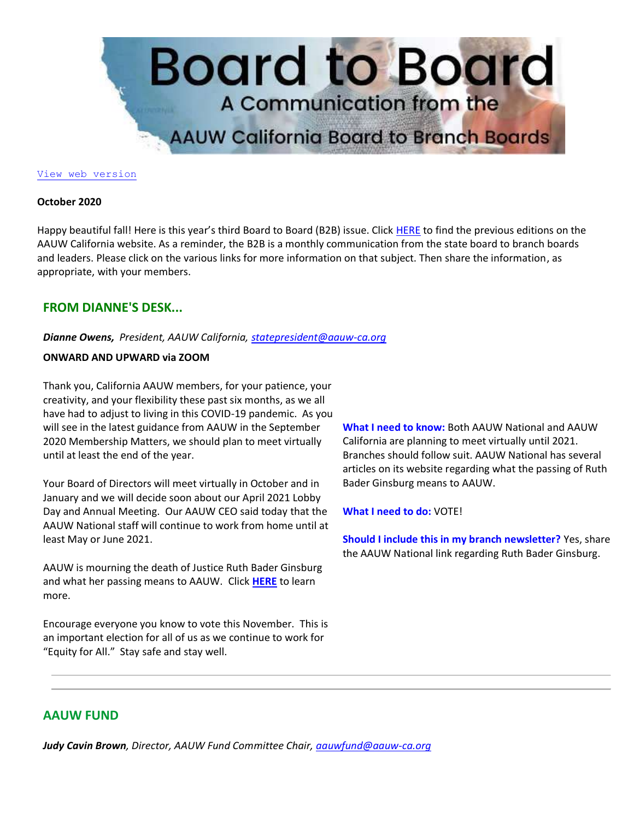

#### [View web version](https://bor.aauw-ca.org/sendy/w/YlrJ763AeyF892b51vFm0EptRw/4FDFL4S593H7oWC6rDwDxg/Gty90mouVyZkzKJ8HyafTA)

#### **October 2020**

Happy beautiful fall! Here is this year's third Board to Board (B2B) issue. Click [HERE](https://bor.aauw-ca.org/sendy/l/YlrJ763AeyF892b51vFm0EptRw/2892cR0qK892xQqa6szn2U1HHg/Gty90mouVyZkzKJ8HyafTA) to find the previous editions on the AAUW California website. As a reminder, the B2B is a monthly communication from the state board to branch boards and leaders. Please click on the various links for more information on that subject. Then share the information, as appropriate, with your members.

# **FROM DIANNE'S DESK...**

*Dianne Owens, President, AAUW California[, statepresident@aauw-ca.org](mailto:statepresident@aauw-ca.org)*

### **ONWARD AND UPWARD via ZOOM**

Thank you, California AAUW members, for your patience, your creativity, and your flexibility these past six months, as we all have had to adjust to living in this COVID-19 pandemic. As you will see in the latest guidance from AAUW in the September 2020 Membership Matters, we should plan to meet virtually until at least the end of the year.

Your Board of Directors will meet virtually in October and in January and we will decide soon about our April 2021 Lobby Day and Annual Meeting. Our AAUW CEO said today that the AAUW National staff will continue to work from home until at least May or June 2021.

AAUW is mourning the death of Justice Ruth Bader Ginsburg and what her passing means to AAUW. Click **[HERE](https://bor.aauw-ca.org/sendy/l/YlrJ763AeyF892b51vFm0EptRw/GNep3YRdOaMaw5l892aeRCvQ/Gty90mouVyZkzKJ8HyafTA)** to learn more.

Encourage everyone you know to vote this November. This is an important election for all of us as we continue to work for "Equity for All." Stay safe and stay well.

**What I need to know:** Both AAUW National and AAUW California are planning to meet virtually until 2021. Branches should follow suit. AAUW National has several articles on its website regarding what the passing of Ruth Bader Ginsburg means to AAUW.

**What I need to do:** VOTE!

**Should I include this in my branch newsletter?** Yes, share the AAUW National link regarding Ruth Bader Ginsburg.

# **AAUW FUND**

*Judy Cavin Brown, Director, AAUW Fund Committee Chair, [aauwfund@aauw-ca.org](mailto:aauwfund@aauw-ca.org)*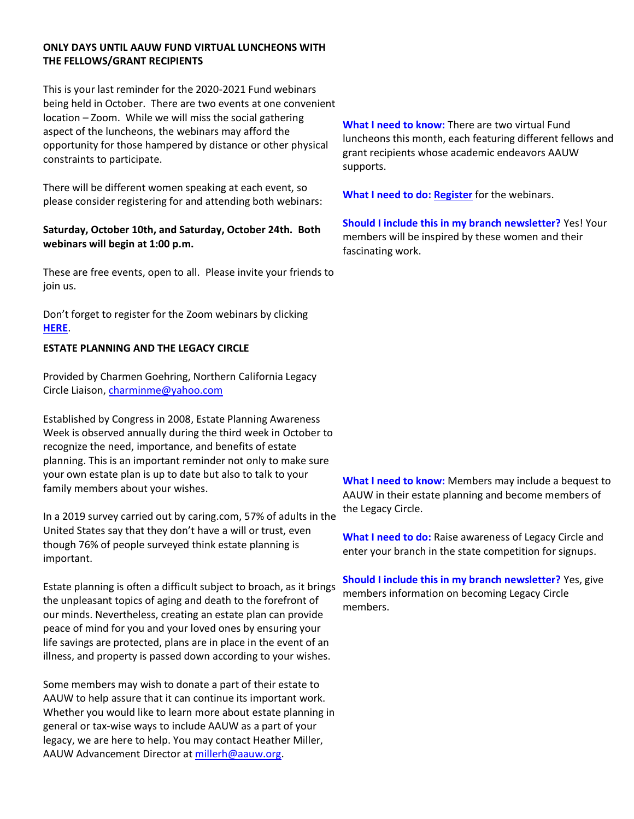## **ONLY DAYS UNTIL AAUW FUND VIRTUAL LUNCHEONS WITH THE FELLOWS/GRANT RECIPIENTS**

This is your last reminder for the 2020-2021 Fund webinars being held in October. There are two events at one convenient location – Zoom. While we will miss the social gathering aspect of the luncheons, the webinars may afford the opportunity for those hampered by distance or other physical constraints to participate.

There will be different women speaking at each event, so please consider registering for and attending both webinars:

# **Saturday, October 10th, and Saturday, October 24th. Both webinars will begin at 1:00 p.m.**

These are free events, open to all. Please invite your friends to join us.

Don't forget to register for the Zoom webinars by clicking **[HERE](https://bor.aauw-ca.org/sendy/l/YlrJ763AeyF892b51vFm0EptRw/ss4lmfsRqSlZBs7dThGm3g/Gty90mouVyZkzKJ8HyafTA)**.

# **ESTATE PLANNING AND THE LEGACY CIRCLE**

Provided by Charmen Goehring, Northern California Legacy Circle Liaison, [charminme@yahoo.com](mailto:charminme@yahoo.com)

Established by Congress in 2008, Estate Planning Awareness Week is observed annually during the third week in October to recognize the need, importance, and benefits of estate planning. This is an important reminder not only to make sure your own estate plan is up to date but also to talk to your family members about your wishes.

In a 2019 survey carried out by caring.com, 57% of adults in the United States say that they don't have a will or trust, even though 76% of people surveyed think estate planning is important.

Estate planning is often a difficult subject to broach, as it brings the unpleasant topics of aging and death to the forefront of our minds. Nevertheless, creating an estate plan can provide peace of mind for you and your loved ones by ensuring your life savings are protected, plans are in place in the event of an illness, and property is passed down according to your wishes.

Some members may wish to donate a part of their estate to AAUW to help assure that it can continue its important work. Whether you would like to learn more about estate planning in general or tax-wise ways to include AAUW as a part of your legacy, we are here to help. You may contact Heather Miller, AAUW Advancement Director at [millerh@aauw.org.](mailto:millerh@aauw.org)

**What I need to know:** There are two virtual Fund luncheons this month, each featuring different fellows and grant recipients whose academic endeavors AAUW supports.

**What I need to do: [Register](https://bor.aauw-ca.org/sendy/l/YlrJ763AeyF892b51vFm0EptRw/ss4lmfsRqSlZBs7dThGm3g/Gty90mouVyZkzKJ8HyafTA)** for the webinars.

**Should I include this in my branch newsletter?** Yes! Your members will be inspired by these women and their fascinating work.

**What I need to know:** Members may include a bequest to AAUW in their estate planning and become members of the Legacy Circle.

**What I need to do:** Raise awareness of Legacy Circle and enter your branch in the state competition for signups.

**Should I include this in my branch newsletter?** Yes, give members information on becoming Legacy Circle members.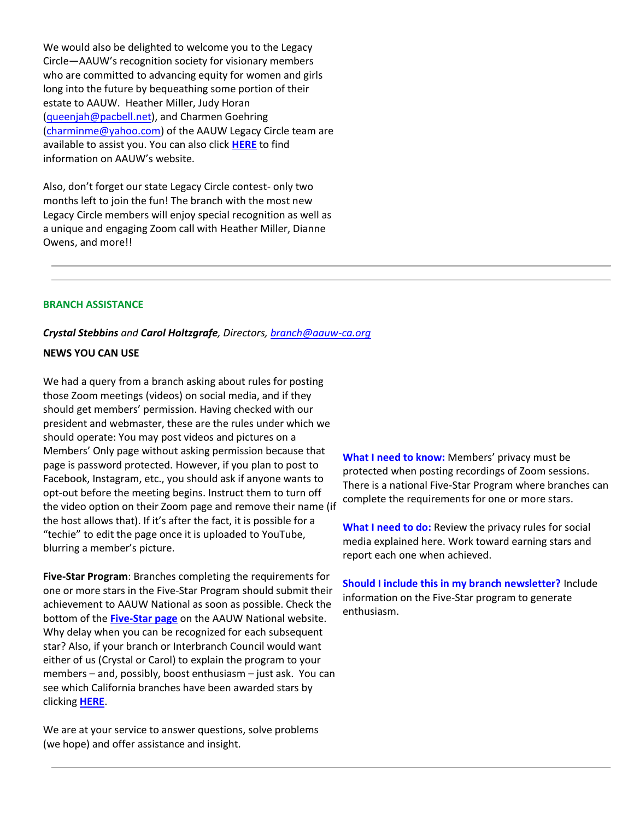We would also be delighted to welcome you to the Legacy Circle—AAUW's recognition society for visionary members who are committed to advancing equity for women and girls long into the future by bequeathing some portion of their estate to AAUW. Heather Miller, Judy Horan [\(queenjah@pacbell.net\)](mailto:queenjah@pacbell.net), and Charmen Goehring [\(charminme@yahoo.com\)](mailto:charminme@yahoo.com) of the AAUW Legacy Circle team are available to assist you. You can also click **[HERE](https://bor.aauw-ca.org/sendy/l/YlrJ763AeyF892b51vFm0EptRw/EG5FGwr763KhrWUqgheMlwbA/Gty90mouVyZkzKJ8HyafTA)** to find information on AAUW's website.

Also, don't forget our state Legacy Circle contest- only two months left to join the fun! The branch with the most new Legacy Circle members will enjoy special recognition as well as a unique and engaging Zoom call with Heather Miller, Dianne Owens, and more!!

### **BRANCH ASSISTANCE**

#### *Crystal Stebbins and Carol Holtzgrafe, Directors, [branch@aauw-ca.org](mailto:branch@aauw-ca.org)*

### **NEWS YOU CAN USE**

We had a query from a branch asking about rules for posting those Zoom meetings (videos) on social media, and if they should get members' permission. Having checked with our president and webmaster, these are the rules under which we should operate: You may post videos and pictures on a Members' Only page without asking permission because that page is password protected. However, if you plan to post to Facebook, Instagram, etc., you should ask if anyone wants to opt-out before the meeting begins. Instruct them to turn off the video option on their Zoom page and remove their name (if the host allows that). If it's after the fact, it is possible for a "techie" to edit the page once it is uploaded to YouTube, blurring a member's picture.

**Five-Star Program**: Branches completing the requirements for one or more stars in the Five-Star Program should submit their achievement to AAUW National as soon as possible. Check the bottom of the **[Five-Star page](https://bor.aauw-ca.org/sendy/l/YlrJ763AeyF892b51vFm0EptRw/bAWU5GhlpV6rVdxKZ6y9VQ/Gty90mouVyZkzKJ8HyafTA)** on the AAUW National website. Why delay when you can be recognized for each subsequent star? Also, if your branch or Interbranch Council would want either of us (Crystal or Carol) to explain the program to your members – and, possibly, boost enthusiasm – just ask. You can see which California branches have been awarded stars by clicking **[HERE](https://bor.aauw-ca.org/sendy/l/YlrJ763AeyF892b51vFm0EptRw/9qhUPhXD94892RA4H0763z6GXw/Gty90mouVyZkzKJ8HyafTA)**.

We are at your service to answer questions, solve problems (we hope) and offer assistance and insight.

**What I need to know:** Members' privacy must be protected when posting recordings of Zoom sessions. There is a national Five-Star Program where branches can complete the requirements for one or more stars.

**What I need to do:** Review the privacy rules for social media explained here. Work toward earning stars and report each one when achieved.

**Should I include this in my branch newsletter?** Include information on the Five-Star program to generate enthusiasm.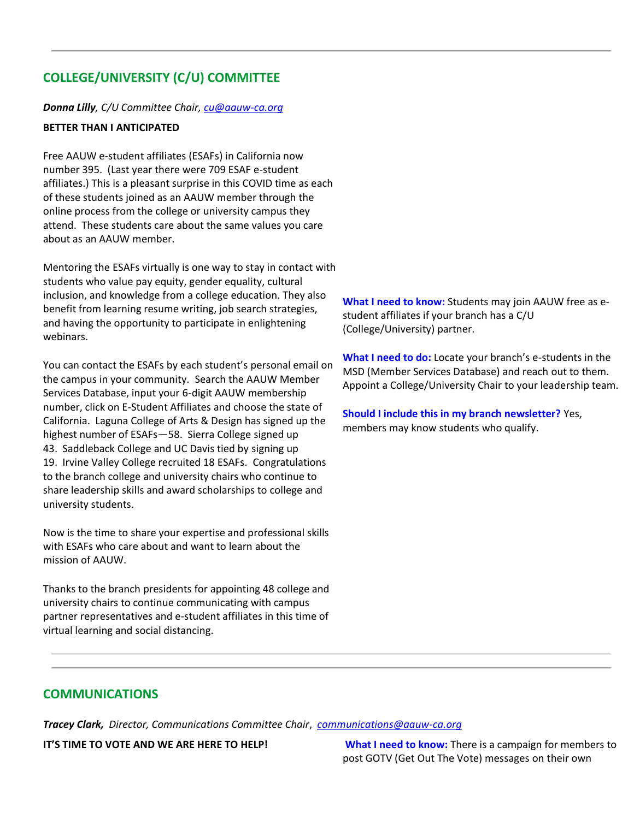# **COLLEGE/UNIVERSITY (C/U) COMMITTEE**

## *Donna Lilly, C/U Committee Chair, [cu@aauw-ca.org](mailto:cu@aauw-ca.org)*

# **BETTER THAN I ANTICIPATED**

Free AAUW e-student affiliates (ESAFs) in California now number 395. (Last year there were 709 ESAF e-student affiliates.) This is a pleasant surprise in this COVID time as each of these students joined as an AAUW member through the online process from the college or university campus they attend. These students care about the same values you care about as an AAUW member.

Mentoring the ESAFs virtually is one way to stay in contact with students who value pay equity, gender equality, cultural inclusion, and knowledge from a college education. They also benefit from learning resume writing, job search strategies, and having the opportunity to participate in enlightening webinars.

You can contact the ESAFs by each student's personal email on the campus in your community. Search the AAUW Member Services Database, input your 6-digit AAUW membership number, click on E-Student Affiliates and choose the state of California. Laguna College of Arts & Design has signed up the highest number of ESAFs—58. Sierra College signed up 43. Saddleback College and UC Davis tied by signing up 19. Irvine Valley College recruited 18 ESAFs. Congratulations to the branch college and university chairs who continue to share leadership skills and award scholarships to college and university students.

Now is the time to share your expertise and professional skills with ESAFs who care about and want to learn about the mission of AAUW.

Thanks to the branch presidents for appointing 48 college and university chairs to continue communicating with campus partner representatives and e-student affiliates in this time of virtual learning and social distancing.

**What I need to know:** Students may join AAUW free as estudent affiliates if your branch has a C/U (College/University) partner.

**What I need to do:** Locate your branch's e-students in the MSD (Member Services Database) and reach out to them. Appoint a College/University Chair to your leadership team.

**Should I include this in my branch newsletter?** Yes, members may know students who qualify.

# **COMMUNICATIONS**

*Tracey Clark, Director, Communications Committee Chair*, *[communications@aauw-ca.org](mailto:Communications@aauw-ca.org)*

**IT'S TIME TO VOTE AND WE ARE HERE TO HELP! What I need to know:** There is a campaign for members to post GOTV (Get Out The Vote) messages on their own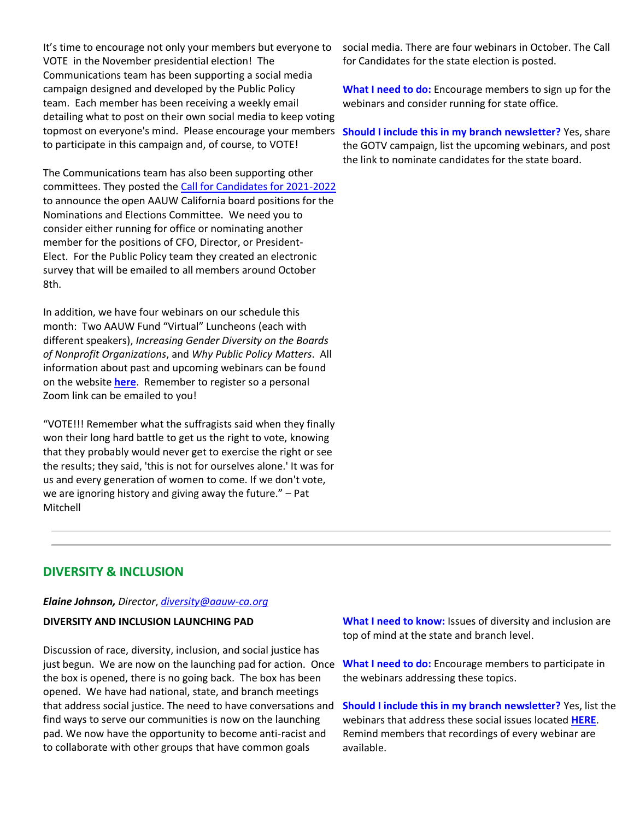It's time to encourage not only your members but everyone to VOTE in the November presidential election! The Communications team has been supporting a social media campaign designed and developed by the Public Policy team. Each member has been receiving a weekly email detailing what to post on their own social media to keep voting topmost on everyone's mind. Please encourage your members to participate in this campaign and, of course, to VOTE!

The Communications team has also been supporting other committees. They posted th[e Call for Candidates for 2021-2022](https://bor.aauw-ca.org/sendy/l/YlrJ763AeyF892b51vFm0EptRw/fgAK763KkJJV9LX7W72763gDOQ/Gty90mouVyZkzKJ8HyafTA) to announce the open AAUW California board positions for the Nominations and Elections Committee. We need you to consider either running for office or nominating another member for the positions of CFO, Director, or President-Elect. For the Public Policy team they created an electronic survey that will be emailed to all members around October 8th.

In addition, we have four webinars on our schedule this month: Two AAUW Fund "Virtual" Luncheons (each with different speakers), *Increasing Gender Diversity on the Boards of Nonprofit Organizations*, and *Why Public Policy Matters*. All information about past and upcoming webinars can be found on the website **[here](https://bor.aauw-ca.org/sendy/l/YlrJ763AeyF892b51vFm0EptRw/UM64kmF6xsZc4Bke763sg0Cw/Gty90mouVyZkzKJ8HyafTA)**. Remember to register so a personal Zoom link can be emailed to you!

"VOTE!!! Remember what the suffragists said when they finally won their long hard battle to get us the right to vote, knowing that they probably would never get to exercise the right or see the results; they said, 'this is not for ourselves alone.' It was for us and every generation of women to come. If we don't vote, we are ignoring history and giving away the future." – Pat Mitchell

social media. There are four webinars in October. The Call for Candidates for the state election is posted.

**What I need to do:** Encourage members to sign up for the webinars and consider running for state office.

**Should I include this in my branch newsletter?** Yes, share the GOTV campaign, list the upcoming webinars, and post the link to nominate candidates for the state board.

# **DIVERSITY & INCLUSION**

### *Elaine Johnson, Director*, *[diversity@aauw-ca.org](mailto:diversity@aauw-ca.org)*

### **DIVERSITY AND INCLUSION LAUNCHING PAD**

Discussion of race, diversity, inclusion, and social justice has just begun. We are now on the launching pad for action. Once the box is opened, there is no going back. The box has been opened. We have had national, state, and branch meetings that address social justice. The need to have conversations and find ways to serve our communities is now on the launching pad. We now have the opportunity to become anti-racist and to collaborate with other groups that have common goals

**What I need to know:** Issues of diversity and inclusion are top of mind at the state and branch level.

**What I need to do:** Encourage members to participate in the webinars addressing these topics.

**Should I include this in my branch newsletter?** Yes, list the webinars that address these social issues located **[HERE](https://bor.aauw-ca.org/sendy/l/YlrJ763AeyF892b51vFm0EptRw/FEXp6QycqBPwCFaUAbYdtg/Gty90mouVyZkzKJ8HyafTA)**. Remind members that recordings of every webinar are available.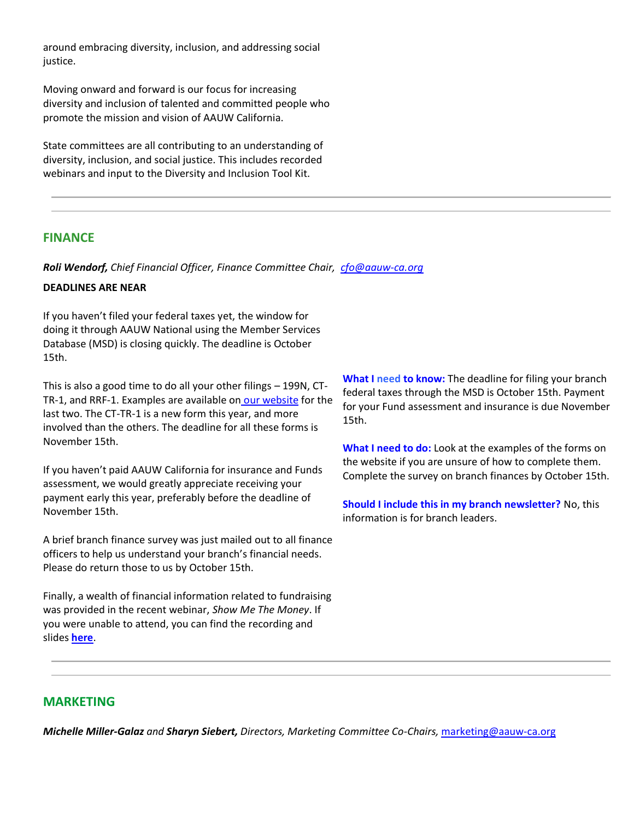around embracing diversity, inclusion, and addressing social justice.

Moving onward and forward is our focus for increasing diversity and inclusion of talented and committed people who promote the mission and vision of AAUW California.

State committees are all contributing to an understanding of diversity, inclusion, and social justice. This includes recorded webinars and input to the Diversity and Inclusion Tool Kit.

# **FINANCE**

*Roli Wendorf, Chief Financial Officer, Finance Committee Chair, [cfo@aauw-ca.org](mailto:cfo@aauw-ca.org)*

## **DEADLINES ARE NEAR**

If you haven't filed your federal taxes yet, the window for doing it through AAUW National using the Member Services Database (MSD) is closing quickly. The deadline is October 15th.

This is also a good time to do all your other filings – 199N, CT-TR-1, and RRF-1. Examples are available on [our website](https://bor.aauw-ca.org/sendy/l/YlrJ763AeyF892b51vFm0EptRw/jLwg9CGgdizy5H8hhvIqHQ/Gty90mouVyZkzKJ8HyafTA) for the last two. The CT-TR-1 is a new form this year, and more involved than the others. The deadline for all these forms is November 15th.

If you haven't paid AAUW California for insurance and Funds assessment, we would greatly appreciate receiving your payment early this year, preferably before the deadline of November 15th.

A brief branch finance survey was just mailed out to all finance officers to help us understand your branch's financial needs. Please do return those to us by October 15th.

Finally, a wealth of financial information related to fundraising was provided in the recent webinar, *Show Me The Money*. If you were unable to attend, you can find the recording and slides **[here](https://bor.aauw-ca.org/sendy/l/YlrJ763AeyF892b51vFm0EptRw/ESYf892bjG1SitZ892SLRYrtpw/Gty90mouVyZkzKJ8HyafTA)**.

**What I need to know:** The deadline for filing your branch federal taxes through the MSD is October 15th. Payment for your Fund assessment and insurance is due November 15th.

**What I need to do:** Look at the examples of the forms on the website if you are unsure of how to complete them. Complete the survey on branch finances by October 15th.

**Should I include this in my branch newsletter?** No, this information is for branch leaders.

# **MARKETING**

*Michelle Miller-Galaz and Sharyn Siebert, Directors, Marketing Committee Co-Chairs,* [marketing@aauw-ca.org](mailto:marketing@aauw-ca.org)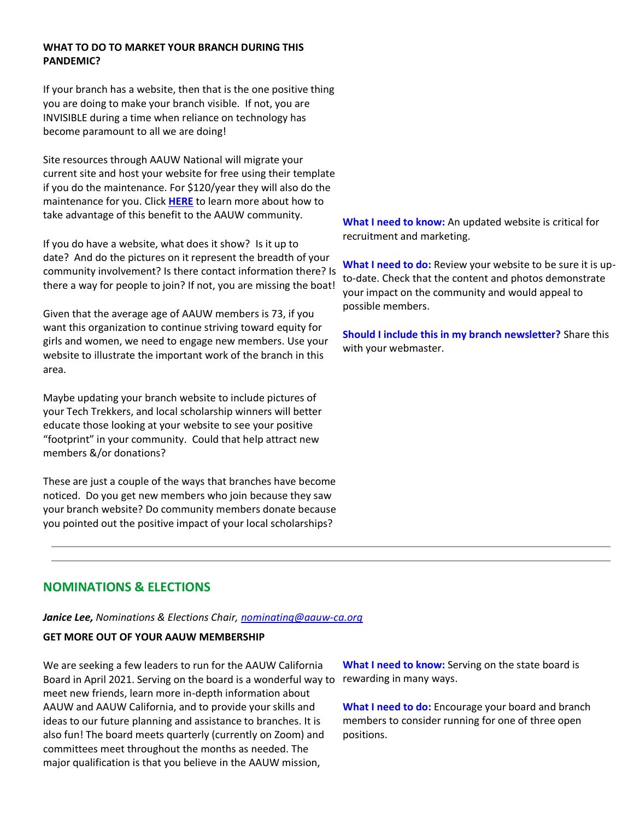## **WHAT TO DO TO MARKET YOUR BRANCH DURING THIS PANDEMIC?**

If your branch has a website, then that is the one positive thing you are doing to make your branch visible. If not, you are INVISIBLE during a time when reliance on technology has become paramount to all we are doing!

Site resources through AAUW National will migrate your current site and host your website for free using their template if you do the maintenance. For \$120/year they will also do the maintenance for you. Click **[HERE](https://bor.aauw-ca.org/sendy/l/YlrJ763AeyF892b51vFm0EptRw/eD9Sad5Osm892ktGb8b763sfbw/Gty90mouVyZkzKJ8HyafTA)** to learn more about how to take advantage of this benefit to the AAUW community.

If you do have a website, what does it show? Is it up to date? And do the pictures on it represent the breadth of your community involvement? Is there contact information there? Is there a way for people to join? If not, you are missing the boat!

Given that the average age of AAUW members is 73, if you want this organization to continue striving toward equity for girls and women, we need to engage new members. Use your website to illustrate the important work of the branch in this area.

Maybe updating your branch website to include pictures of your Tech Trekkers, and local scholarship winners will better educate those looking at your website to see your positive "footprint" in your community. Could that help attract new members &/or donations?

These are just a couple of the ways that branches have become noticed. Do you get new members who join because they saw your branch website? Do community members donate because you pointed out the positive impact of your local scholarships?

**What I need to know:** An updated website is critical for recruitment and marketing.

**What I need to do:** Review your website to be sure it is upto-date. Check that the content and photos demonstrate your impact on the community and would appeal to possible members.

**Should I include this in my branch newsletter?** Share this with your webmaster.

# **NOMINATIONS & ELECTIONS**

*Janice Lee, Nominations & Elections Chair, [nominating@aauw-ca.org](mailto:nominating@aauw-ca.org)*

## **GET MORE OUT OF YOUR AAUW MEMBERSHIP**

We are seeking a few leaders to run for the AAUW California Board in April 2021. Serving on the board is a wonderful way to rewarding in many ways. meet new friends, learn more in-depth information about AAUW and AAUW California, and to provide your skills and ideas to our future planning and assistance to branches. It is also fun! The board meets quarterly (currently on Zoom) and committees meet throughout the months as needed. The major qualification is that you believe in the AAUW mission,

**What I need to know:** Serving on the state board is

**What I need to do:** Encourage your board and branch members to consider running for one of three open positions.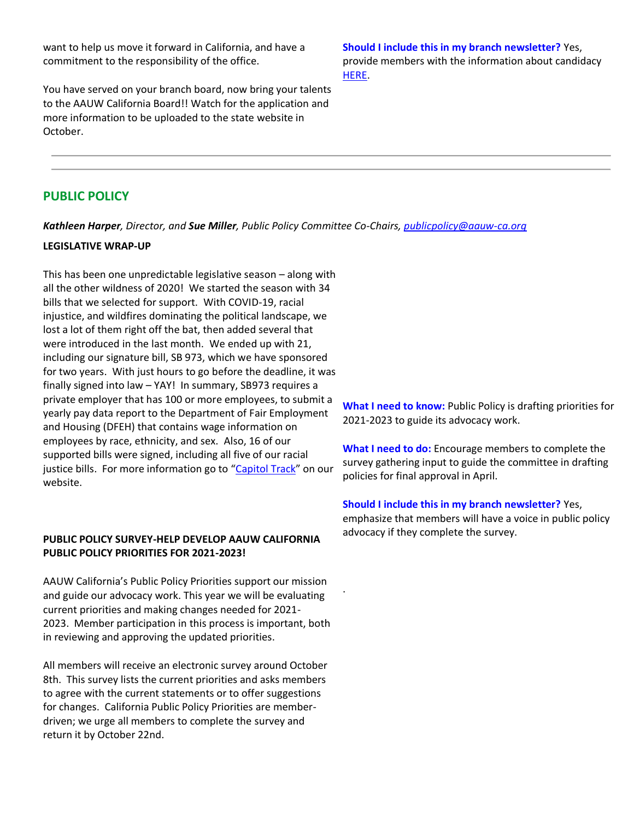want to help us move it forward in California, and have a commitment to the responsibility of the office.

You have served on your branch board, now bring your talents to the AAUW California Board!! Watch for the application and more information to be uploaded to the state website in October.

**Should I include this in my branch newsletter?** Yes, provide members with the information about candidacy [HERE.](https://bor.aauw-ca.org/sendy/l/YlrJ763AeyF892b51vFm0EptRw/xl1763vwtkU8MnMKpaPzlQeA/Gty90mouVyZkzKJ8HyafTA)

# **PUBLIC POLICY**

*Kathleen Harper, Director, and Sue Miller, Public Policy Committee Co-Chairs, [publicpolicy@aauw-ca.org](mailto:PublicPolicy@aauw-ca.org)*

.

#### **LEGISLATIVE WRAP-UP**

This has been one unpredictable legislative season – along with all the other wildness of 2020! We started the season with 34 bills that we selected for support. With COVID-19, racial injustice, and wildfires dominating the political landscape, we lost a lot of them right off the bat, then added several that were introduced in the last month. We ended up with 21, including our signature bill, SB 973, which we have sponsored for two years. With just hours to go before the deadline, it was finally signed into law – YAY! In summary, SB973 requires a private employer that has 100 or more employees, to submit a yearly pay data report to the Department of Fair Employment and Housing (DFEH) that contains wage information on employees by race, ethnicity, and sex. Also, 16 of our supported bills were signed, including all five of our racial justice bills. For more information go to "[Capitol Track](https://bor.aauw-ca.org/sendy/l/YlrJ763AeyF892b51vFm0EptRw/ALZ8LV9DprhByKJ4cXpjrg/Gty90mouVyZkzKJ8HyafTA)" on our website.

### **PUBLIC POLICY SURVEY-HELP DEVELOP AAUW CALIFORNIA PUBLIC POLICY PRIORITIES FOR 2021-2023!**

AAUW California's Public Policy Priorities support our mission and guide our advocacy work. This year we will be evaluating current priorities and making changes needed for 2021- 2023. Member participation in this process is important, both in reviewing and approving the updated priorities.

All members will receive an electronic survey around October 8th. This survey lists the current priorities and asks members to agree with the current statements or to offer suggestions for changes. California Public Policy Priorities are memberdriven; we urge all members to complete the survey and return it by October 22nd.

**What I need to know:** Public Policy is drafting priorities for 2021-2023 to guide its advocacy work.

**What I need to do:** Encourage members to complete the survey gathering input to guide the committee in drafting policies for final approval in April.

#### **Should I include this in my branch newsletter?** Yes,

emphasize that members will have a voice in public policy advocacy if they complete the survey.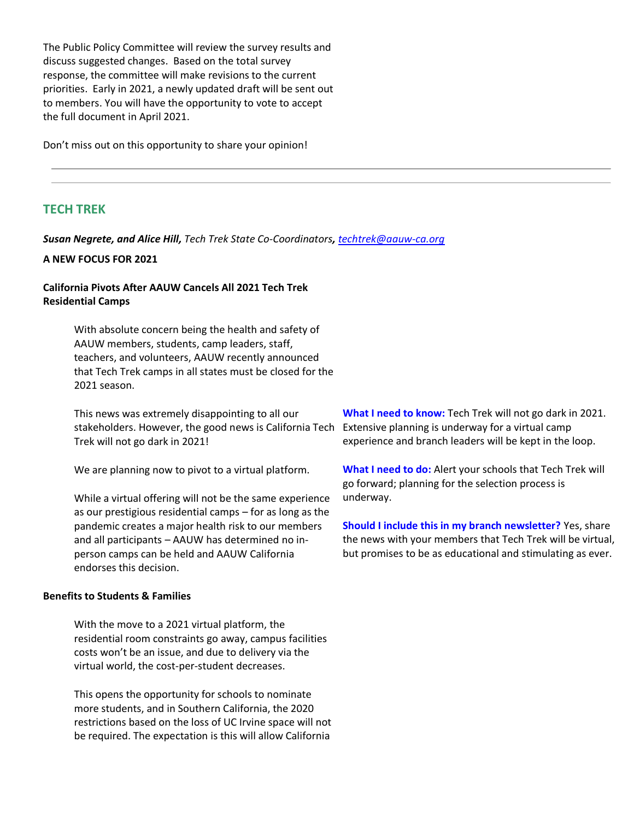The Public Policy Committee will review the survey results and discuss suggested changes. Based on the total survey response, the committee will make revisions to the current priorities. Early in 2021, a newly updated draft will be sent out to members. You will have the opportunity to vote to accept the full document in April 2021.

Don't miss out on this opportunity to share your opinion!

# **TECH TREK**

*Susan Negrete, and Alice Hill, Tech Trek State Co-Coordinators, [techtrek@aauw-ca.org](mailto:techtrek@aauw-ca.org)*

#### **A NEW FOCUS FOR 2021**

### **California Pivots After AAUW Cancels All 2021 Tech Trek Residential Camps**

With absolute concern being the health and safety of AAUW members, students, camp leaders, staff, teachers, and volunteers, AAUW recently announced that Tech Trek camps in all states must be closed for the 2021 season.

This news was extremely disappointing to all our stakeholders. However, the good news is California Tech Trek will not go dark in 2021!

We are planning now to pivot to a virtual platform.

While a virtual offering will not be the same experience as our prestigious residential camps – for as long as the pandemic creates a major health risk to our members and all participants – AAUW has determined no inperson camps can be held and AAUW California endorses this decision.

#### **Benefits to Students & Families**

With the move to a 2021 virtual platform, the residential room constraints go away, campus facilities costs won't be an issue, and due to delivery via the virtual world, the cost-per-student decreases.

This opens the opportunity for schools to nominate more students, and in Southern California, the 2020 restrictions based on the loss of UC Irvine space will not be required. The expectation is this will allow California

**What I need to know:** Tech Trek will not go dark in 2021. Extensive planning is underway for a virtual camp experience and branch leaders will be kept in the loop.

**What I need to do:** Alert your schools that Tech Trek will go forward; planning for the selection process is underway.

**Should I include this in my branch newsletter?** Yes, share the news with your members that Tech Trek will be virtual, but promises to be as educational and stimulating as ever.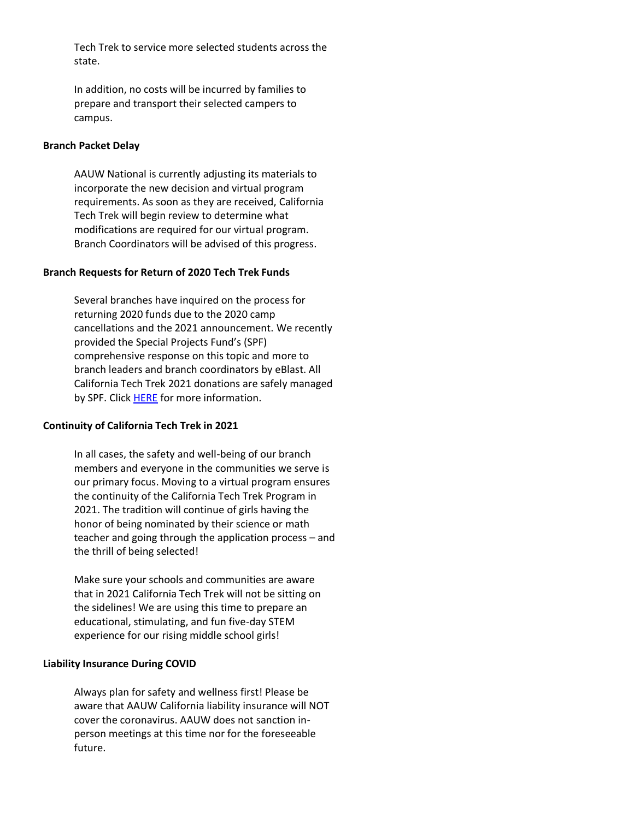Tech Trek to service more selected students across the state.

In addition, no costs will be incurred by families to prepare and transport their selected campers to campus.

### **Branch Packet Delay**

AAUW National is currently adjusting its materials to incorporate the new decision and virtual program requirements. As soon as they are received, California Tech Trek will begin review to determine what modifications are required for our virtual program. Branch Coordinators will be advised of this progress.

## **Branch Requests for Return of 2020 Tech Trek Funds**

Several branches have inquired on the process for returning 2020 funds due to the 2020 camp cancellations and the 2021 announcement. We recently provided the Special Projects Fund's (SPF) comprehensive response on this topic and more to branch leaders and branch coordinators by eBlast. All California Tech Trek 2021 donations are safely managed by SPF. Click [HERE](https://bor.aauw-ca.org/sendy/l/YlrJ763AeyF892b51vFm0EptRw/a763FI763m892eh6SoFj7Cs0jQCQ/Gty90mouVyZkzKJ8HyafTA) for more information.

## **Continuity of California Tech Trek in 2021**

In all cases, the safety and well-being of our branch members and everyone in the communities we serve is our primary focus. Moving to a virtual program ensures the continuity of the California Tech Trek Program in 2021. The tradition will continue of girls having the honor of being nominated by their science or math teacher and going through the application process – and the thrill of being selected!

Make sure your schools and communities are aware that in 2021 California Tech Trek will not be sitting on the sidelines! We are using this time to prepare an educational, stimulating, and fun five-day STEM experience for our rising middle school girls!

### **Liability Insurance During COVID**

Always plan for safety and wellness first! Please be aware that AAUW California liability insurance will NOT cover the coronavirus. AAUW does not sanction inperson meetings at this time nor for the foreseeable future.